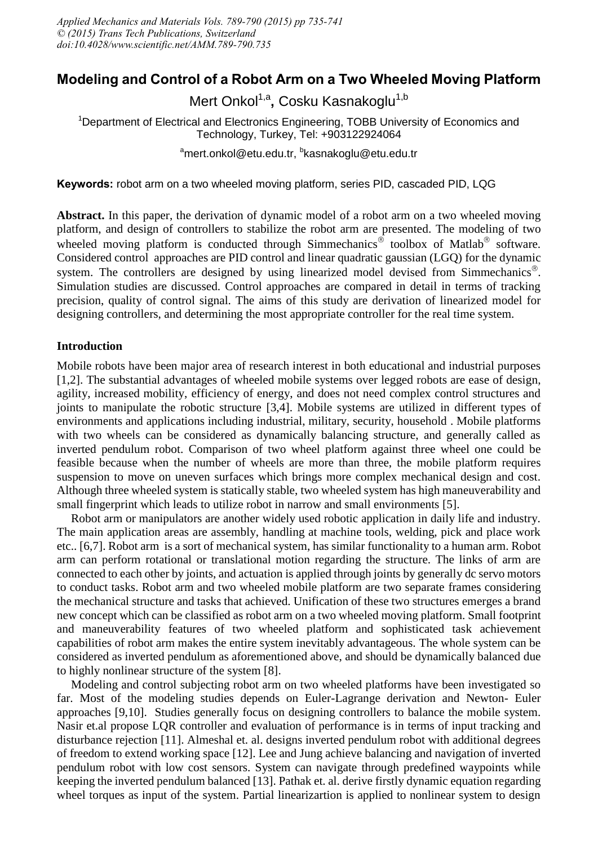# **Modeling and Control of a Robot Arm on a Two Wheeled Moving Platform**

Mert Onkol<sup>1,a</sup>, Cosku Kasnakoglu<sup>1,b</sup>

<sup>1</sup>Department of Electrical and Electronics Engineering, TOBB University of Economics and Technology, Turkey, Tel: +903122924064

<sup>a</sup>mert.onkol@etu.edu.tr, <sup>b</sup>kasnakoglu@etu.edu.tr

**Keywords:** robot arm on a two wheeled moving platform, series PID, cascaded PID, LQG

**Abstract.** In this paper, the derivation of dynamic model of a robot arm on a two wheeled moving platform, and design of controllers to stabilize the robot arm are presented. The modeling of two wheeled moving platform is conducted through Simmechanics<sup>®</sup> toolbox of Matlab<sup>®</sup> software. Considered control approaches are PID control and linear quadratic gaussian (LGQ) for the dynamic system. The controllers are designed by using linearized model devised from Simmechanics®. Simulation studies are discussed. Control approaches are compared in detail in terms of tracking precision, quality of control signal. The aims of this study are derivation of linearized model for designing controllers, and determining the most appropriate controller for the real time system.

# **Introduction**

Mobile robots have been major area of research interest in both educational and industrial purposes [1,2]. The substantial advantages of wheeled mobile systems over legged robots are ease of design, agility, increased mobility, efficiency of energy, and does not need complex control structures and joints to manipulate the robotic structure [3,4]. Mobile systems are utilized in different types of environments and applications including industrial, military, security, household . Mobile platforms with two wheels can be considered as dynamically balancing structure, and generally called as inverted pendulum robot. Comparison of two wheel platform against three wheel one could be feasible because when the number of wheels are more than three, the mobile platform requires suspension to move on uneven surfaces which brings more complex mechanical design and cost. Although three wheeled system is statically stable, two wheeled system has high maneuverability and small fingerprint which leads to utilize robot in narrow and small environments [5].

Robot arm or manipulators are another widely used robotic application in daily life and industry. The main application areas are assembly, handling at machine tools, welding, pick and place work etc.. [6,7]. Robot arm is a sort of mechanical system, has similar functionality to a human arm. Robot arm can perform rotational or translational motion regarding the structure. The links of arm are connected to each other by joints, and actuation is applied through joints by generally dc servo motors to conduct tasks. Robot arm and two wheeled mobile platform are two separate frames considering the mechanical structure and tasks that achieved. Unification of these two structures emerges a brand new concept which can be classified as robot arm on a two wheeled moving platform. Small footprint and maneuverability features of two wheeled platform and sophisticated task achievement capabilities of robot arm makes the entire system inevitably advantageous. The whole system can be considered as inverted pendulum as aforementioned above, and should be dynamically balanced due to highly nonlinear structure of the system [8].

Modeling and control subjecting robot arm on two wheeled platforms have been investigated so far. Most of the modeling studies depends on Euler-Lagrange derivation and Newton- Euler approaches [9,10]. Studies generally focus on designing controllers to balance the mobile system. Nasir et.al propose LQR controller and evaluation of performance is in terms of input tracking and disturbance rejection [11]. Almeshal et. al. designs inverted pendulum robot with additional degrees of freedom to extend working space [12]. Lee and Jung achieve balancing and navigation of inverted pendulum robot with low cost sensors. System can navigate through predefined waypoints while keeping the inverted pendulum balanced [13]. Pathak et. al. derive firstly dynamic equation regarding wheel torques as input of the system. Partial linearizartion is applied to nonlinear system to design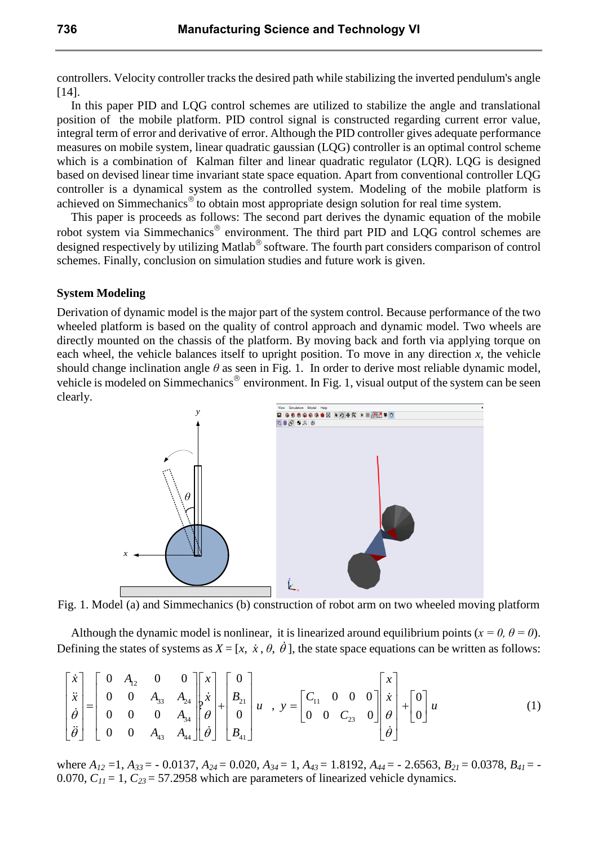controllers. Velocity controller tracks the desired path while stabilizing the inverted pendulum's angle [14].

In this paper PID and LQG control schemes are utilized to stabilize the angle and translational position of the mobile platform. PID control signal is constructed regarding current error value, integral term of error and derivative of error. Although the PID controller gives adequate performance measures on mobile system, linear quadratic gaussian (LQG) controller is an optimal control scheme which is a combination of Kalman filter and linear quadratic regulator (LQR). LQG is designed based on devised linear time invariant state space equation. Apart from conventional controller LQG controller is a dynamical system as the controlled system. Modeling of the mobile platform is achieved on Simmechanics<sup>®</sup> to obtain most appropriate design solution for real time system.

This paper is proceeds as follows: The second part derives the dynamic equation of the mobile robot system via Simmechanics® environment. The third part PID and LQG control schemes are designed respectively by utilizing Matlab® software. The fourth part considers comparison of control schemes. Finally, conclusion on simulation studies and future work is given.

#### **System Modeling**

Derivation of dynamic model is the major part of the system control. Because performance of the two wheeled platform is based on the quality of control approach and dynamic model. Two wheels are directly mounted on the chassis of the platform. By moving back and forth via applying torque on each wheel, the vehicle balances itself to upright position. To move in any direction *x*, the vehicle should change inclination angle  $\theta$  as seen in Fig. 1. In order to derive most reliable dynamic model, vehicle is modeled on Simmechanics<sup>®</sup> environment. In Fig. 1, visual output of the system can be seen clearly.



Fig. 1. Model (a) and Simmechanics (b) construction of robot arm on two wheeled moving platform

Although the dynamic model is nonlinear, it is linearized around equilibrium points ( $x = 0$ ,  $\theta = 0$ ). Defining the states of systems as  $X = [x, \dot{x}, \theta, \dot{\theta}]$ , the state space equations can be written as follows:

$$
\begin{bmatrix} \dot{x} \\ \ddot{x} \\ \dot{\theta} \\ \dot{\theta} \end{bmatrix} = \begin{bmatrix} 0 & A_{12} & 0 & 0 \\ 0 & 0 & A_{33} & A_{24} \\ 0 & 0 & 0 & A_{34} \\ 0 & 0 & A_{43} & A_{44} \end{bmatrix} \begin{bmatrix} x \\ \dot{x} \\ \theta \\ \dot{\theta} \end{bmatrix} + \begin{bmatrix} 0 \\ B_{21} \\ 0 \\ B_{41} \end{bmatrix} u , y = \begin{bmatrix} C_{11} & 0 & 0 & 0 \\ 0 & 0 & C_{23} & 0 \end{bmatrix} \begin{bmatrix} x \\ \dot{x} \\ \theta \\ \dot{\theta} \end{bmatrix} + \begin{bmatrix} 0 \\ 0 \end{bmatrix} u
$$
 (1)

where  $A_{12} = 1$ ,  $A_{33} = -0.0137$ ,  $A_{24} = 0.020$ ,  $A_{34} = 1$ ,  $A_{43} = 1.8192$ ,  $A_{44} = -2.6563$ ,  $B_{21} = 0.0378$ ,  $B_{41} = -1.8192$ 0.070,  $C_{11} = 1$ ,  $C_{23} = 57.2958$  which are parameters of linearized vehicle dynamics.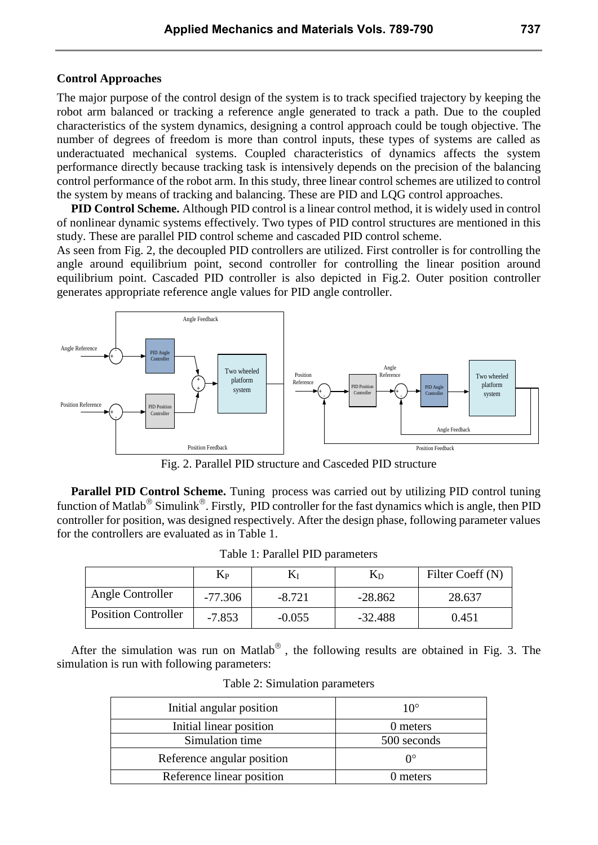### **Control Approaches**

The major purpose of the control design of the system is to track specified trajectory by keeping the robot arm balanced or tracking a reference angle generated to track a path. Due to the coupled characteristics of the system dynamics, designing a control approach could be tough objective. The number of degrees of freedom is more than control inputs, these types of systems are called as underactuated mechanical systems. Coupled characteristics of dynamics affects the system performance directly because tracking task is intensively depends on the precision of the balancing control performance of the robot arm. In this study, three linear control schemes are utilized to control the system by means of tracking and balancing. These are PID and LQG control approaches.

**PID Control Scheme.** Although PID control is a linear control method, it is widely used in control of nonlinear dynamic systems effectively. Two types of PID control structures are mentioned in this study. These are parallel PID control scheme and cascaded PID control scheme.

As seen from Fig. 2, the decoupled PID controllers are utilized. First controller is for controlling the angle around equilibrium point, second controller for controlling the linear position around equilibrium point. Cascaded PID controller is also depicted in Fig.2. Outer position controller generates appropriate reference angle values for PID angle controller.



Fig. 2. Parallel PID structure and Casceded PID structure

**Parallel PID Control Scheme.** Tuning process was carried out by utilizing PID control tuning function of Matlab<sup>®</sup> Simulink<sup>®</sup>. Firstly, PID controller for the fast dynamics which is angle, then PID controller for position, was designed respectively. After the design phase, following parameter values for the controllers are evaluated as in Table 1.

|                            | $K_{P}$   |          | Kв        | Filter Coeff (N) |  |
|----------------------------|-----------|----------|-----------|------------------|--|
| Angle Controller           | $-77.306$ | $-8.721$ | $-28.862$ | 28.637           |  |
| <b>Position Controller</b> | $-7.853$  |          | -32.488   | $0.45^{\circ}$   |  |

Table 1: Parallel PID parameters

After the simulation was run on Matlab $^{\circledast}$ , the following results are obtained in Fig. 3. The simulation is run with following parameters:

| Initial angular position   | $10^{\circ}$ |  |
|----------------------------|--------------|--|
| Initial linear position    | 0 meters     |  |
| Simulation time            | 500 seconds  |  |
| Reference angular position | ∩∘           |  |
| Reference linear position  | 0 meters     |  |

Table 2: Simulation parameters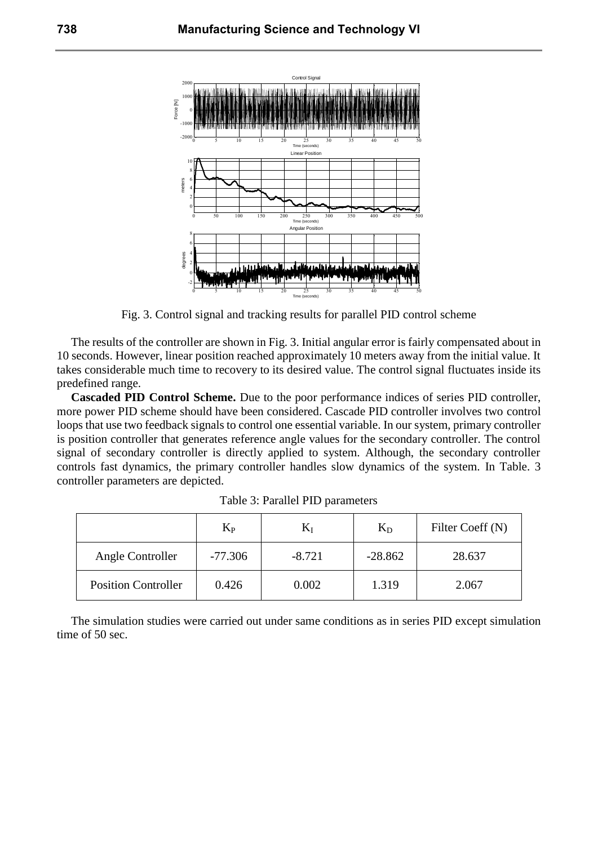

Fig. 3. Control signal and tracking results for parallel PID control scheme

The results of the controller are shown in Fig. 3. Initial angular error is fairly compensated about in 10 seconds. However, linear position reached approximately 10 meters away from the initial value. It takes considerable much time to recovery to its desired value. The control signal fluctuates inside its predefined range.

**Cascaded PID Control Scheme.** Due to the poor performance indices of series PID controller, more power PID scheme should have been considered. Cascade PID controller involves two control loops that use two feedback signals to control one essential variable. In our system, primary controller is position controller that generates reference angle values for the secondary controller. The control signal of secondary controller is directly applied to system. Although, the secondary controller controls fast dynamics, the primary controller handles slow dynamics of the system. In Table. 3 controller parameters are depicted.

|                            | $K_{P}$   | Δī       | $K_D$     | Filter Coeff (N) |
|----------------------------|-----------|----------|-----------|------------------|
| Angle Controller           | $-77.306$ | $-8.721$ | $-28.862$ | 28.637           |
| <b>Position Controller</b> | 0.426     | 0.002    | 1.319     | 2.067            |

Table 3: Parallel PID parameters

The simulation studies were carried out under same conditions as in series PID except simulation time of 50 sec.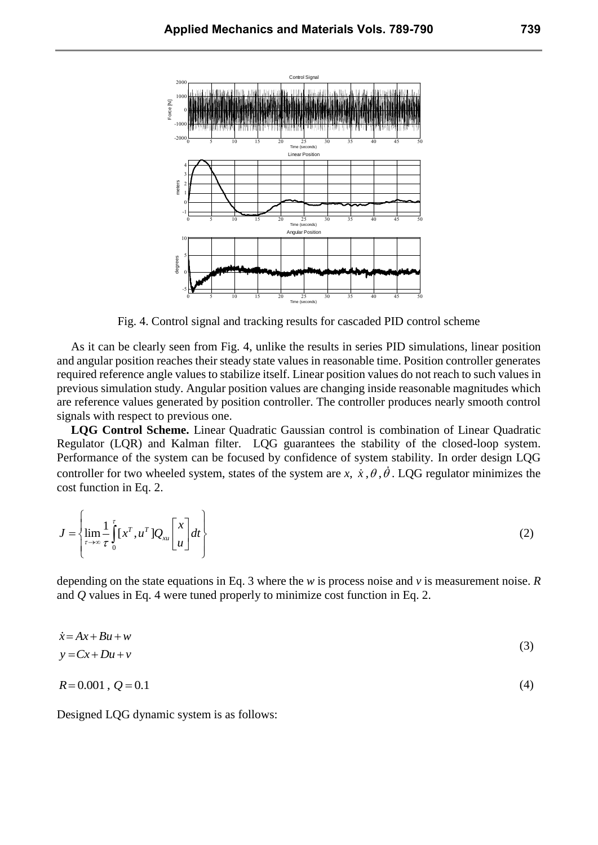

Fig. 4. Control signal and tracking results for cascaded PID control scheme

As it can be clearly seen from Fig. 4, unlike the results in series PID simulations, linear position and angular position reaches their steady state values in reasonable time. Position controller generates required reference angle values to stabilize itself. Linear position values do not reach to such values in previous simulation study. Angular position values are changing inside reasonable magnitudes which are reference values generated by position controller. The controller produces nearly smooth control signals with respect to previous one.

**LQG Control Scheme.** Linear Quadratic Gaussian control is combination of Linear Quadratic Regulator (LQR) and Kalman filter. LQG guarantees the stability of the closed-loop system. Performance of the system can be focused by confidence of system stability. In order design LQG controller for two wheeled system, states of the system are  $x$ ,  $\dot{x}$ ,  $\theta$ ,  $\theta$ . LQG regulator minimizes the cost function in Eq. 2.

$$
J = \left\{ \lim_{\tau \to \infty} \frac{1}{\tau} \int_{0}^{\tau} [x^T, u^T] Q_{xu} \begin{bmatrix} x \\ u \end{bmatrix} dt \right\}
$$
(2)

depending on the state equations in Eq. 3 where the *w* is process noise and *v* is measurement noise. *R* and *Q* values in Eq. 4 were tuned properly to minimize cost function in Eq. 2.

$$
\begin{aligned} \n\dot{x} &= Ax + Bu + w \\ \ny &= Cx + Du + v \tag{3} \n\end{aligned}
$$

$$
\mathcal{L}_{\mathcal{A}}(\mathcal{A})=\mathcal{L}_{\mathcal{A}}(\mathcal{A})=\mathcal{L}_{\mathcal{A}}(\mathcal{A})=\mathcal{L}_{\mathcal{A}}(\mathcal{A})=\mathcal{L}_{\mathcal{A}}(\mathcal{A})=\mathcal{L}_{\mathcal{A}}(\mathcal{A})=\mathcal{L}_{\mathcal{A}}(\mathcal{A})=\mathcal{L}_{\mathcal{A}}(\mathcal{A})=\mathcal{L}_{\mathcal{A}}(\mathcal{A})=\mathcal{L}_{\mathcal{A}}(\mathcal{A})=\mathcal{L}_{\mathcal{A}}(\mathcal{A})=\mathcal{L}_{\mathcal{A}}(\mathcal{A})=\mathcal{L}_{\mathcal{A}}(\mathcal{A})=\mathcal{L}_{\mathcal{A}}(\mathcal{A})=\mathcal{L}_{\mathcal{A}}(\mathcal{A})=\mathcal{L}_{\mathcal{A}}(\mathcal{A})=\mathcal{L}_{\mathcal{A}}(\mathcal{A})=\mathcal{L}_{\mathcal{A}}(\mathcal{A})=\mathcal{L}_{\mathcal{A}}(\mathcal{A})=\mathcal{L}_{\mathcal{A}}(\mathcal{A})=\mathcal{L}_{\mathcal{A}}(\mathcal{A})=\mathcal{L}_{\mathcal{A}}(\mathcal{A})=\mathcal{L}_{\mathcal{A}}(\mathcal{A})=\mathcal{L}_{\mathcal{A}}(\mathcal{A})=\mathcal{L}_{\mathcal{A}}(\mathcal{A})=\mathcal{L}_{\mathcal{A}}(\mathcal{A})=\mathcal{L}_{\mathcal{A}}(\mathcal{A})=\mathcal{L}_{\mathcal{A}}(\mathcal{A})=\mathcal{L}_{\mathcal{A}}(\mathcal{A})=\mathcal{L}_{\mathcal{A}}(\mathcal{A})=\mathcal{L}_{\mathcal{A}}(\mathcal{A})=\mathcal{L}_{\mathcal{A}}(\mathcal{A})=\mathcal{L}_{\mathcal{A}}(\mathcal{A})=\mathcal{L}_{\mathcal{A}}(\mathcal{A})=\mathcal{L}_{\mathcal{A}}(\mathcal{A})=\mathcal{L}_{\mathcal{A}}(\mathcal{A})=\mathcal{L}_{\mathcal{A}}(\mathcal{A})=\mathcal{L}_{\mathcal{A}}(\mathcal{A})=\mathcal{L}_{\mathcal{A}}(\mathcal{A})=\mathcal{L}_{\mathcal{A}}(\mathcal{A})=\mathcal{L}_{\mathcal{A}}(\mathcal{A})=\mathcal{L}_{\mathcal{A}}(\mathcal{A})=\mathcal{
$$

 $R = 0.001$ ,  $Q = 0.1$ (4)

Designed LQG dynamic system is as follows: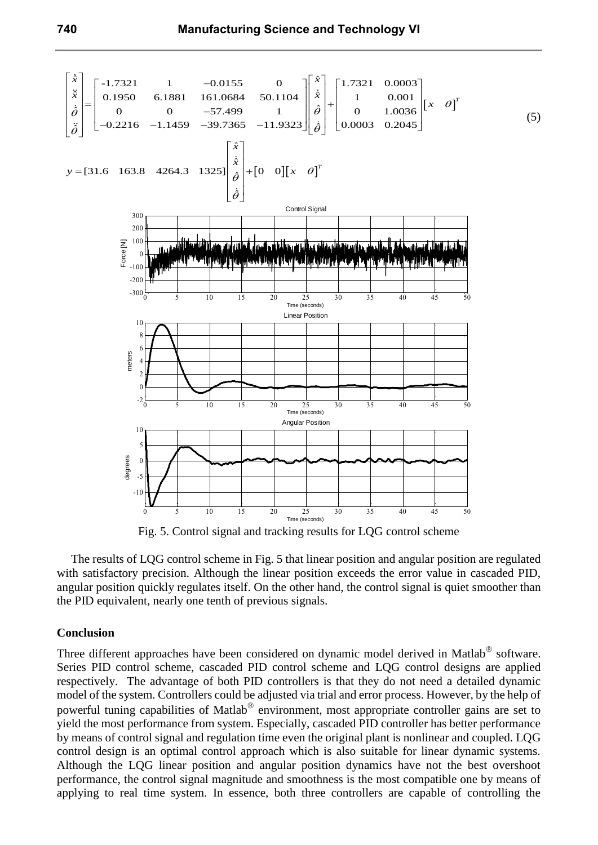

Fig. 5. Control signal and tracking results for LQG control scheme

The results of LQG control scheme in Fig. 5 that linear position and angular position are regulated with satisfactory precision. Although the linear position exceeds the error value in cascaded PID, angular position quickly regulates itself. On the other hand, the control signal is quiet smoother than the PID equivalent, nearly one tenth of previous signals.

## **Conclusion**

Three different approaches have been considered on dynamic model derived in Matlab $^{\circledR}$  software. Series PID control scheme, cascaded PID control scheme and LQG control designs are applied respectively. The advantage of both PID controllers is that they do not need a detailed dynamic model of the system. Controllers could be adjusted via trial and error process. However, by the help of powerful tuning capabilities of Matlab® environment, most appropriate controller gains are set to yield the most performance from system. Especially, cascaded PID controller has better performance by means of control signal and regulation time even the original plant is nonlinear and coupled. LQG control design is an optimal control approach which is also suitable for linear dynamic systems. Although the LQG linear position and angular position dynamics have not the best overshoot performance, the control signal magnitude and smoothness is the most compatible one by means of